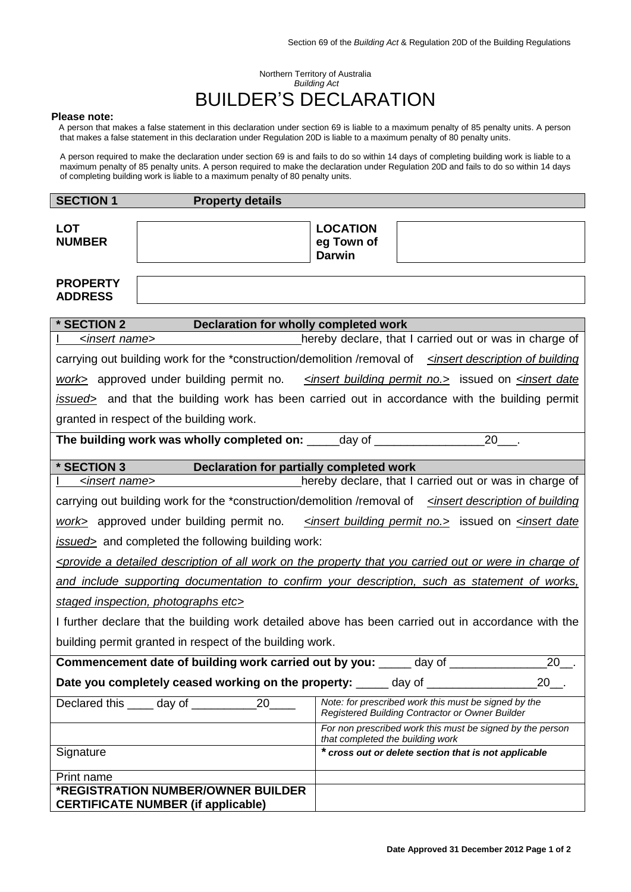# Northern Territory of Australia *Building Act* BUILDER'S DECLARATION

#### **Please note:**

A person that makes a false statement in this declaration under section 69 is liable to a maximum penalty of 85 penalty units. A person that makes a false statement in this declaration under Regulation 20D is liable to a maximum penalty of 80 penalty units.

A person required to make the declaration under section 69 is and fails to do so within 14 days of completing building work is liable to a maximum penalty of 85 penalty units. A person required to make the declaration under Regulation 20D and fails to do so within 14 days of completing building work is liable to a maximum penalty of 80 penalty units.

| <b>SECTION 1</b>                                                                                                                                                              | <b>Property details</b>    |                                                                                               |                                                                                                         |
|-------------------------------------------------------------------------------------------------------------------------------------------------------------------------------|----------------------------|-----------------------------------------------------------------------------------------------|---------------------------------------------------------------------------------------------------------|
| <b>LOT</b><br><b>NUMBER</b>                                                                                                                                                   |                            | <b>LOCATION</b><br>eg Town of<br><b>Darwin</b>                                                |                                                                                                         |
| <b>PROPERTY</b>                                                                                                                                                               |                            |                                                                                               |                                                                                                         |
| <b>ADDRESS</b>                                                                                                                                                                |                            |                                                                                               |                                                                                                         |
|                                                                                                                                                                               |                            |                                                                                               |                                                                                                         |
| * SECTION 2<br>Declaration for wholly completed work                                                                                                                          |                            |                                                                                               |                                                                                                         |
| hereby declare, that I carried out or was in charge of<br><insert name=""></insert>                                                                                           |                            |                                                                                               |                                                                                                         |
| carrying out building work for the *construction/demolition /removal of singler description of building                                                                       |                            |                                                                                               |                                                                                                         |
| work> approved under building permit no. < <u><insert building="" no.<="" permit="" u="">&gt; issued on &lt;<i>insert date</i></insert></u>                                   |                            |                                                                                               |                                                                                                         |
| issued> and that the building work has been carried out in accordance with the building permit                                                                                |                            |                                                                                               |                                                                                                         |
| granted in respect of the building work.                                                                                                                                      |                            |                                                                                               |                                                                                                         |
| The building work was wholly completed on: _____ day of _________________<br>$\overline{20}$                                                                                  |                            |                                                                                               |                                                                                                         |
| * SECTION 3<br>Declaration for partially completed work                                                                                                                       |                            |                                                                                               |                                                                                                         |
| hereby declare, that I carried out or was in charge of<br><insert name=""></insert>                                                                                           |                            |                                                                                               |                                                                                                         |
| carrying out building work for the *construction/demolition /removal of sinsert description of building                                                                       |                            |                                                                                               |                                                                                                         |
| work> approved under building permit no. <insert building="" no.="" permit=""> issued on <insert date<="" td=""></insert></insert>                                            |                            |                                                                                               |                                                                                                         |
| issued> and completed the following building work:                                                                                                                            |                            |                                                                                               |                                                                                                         |
| <provide a="" all="" carried="" charge="" description="" detailed="" in="" of="" of<="" on="" or="" out="" property="" td="" that="" the="" were="" work="" you=""></provide> |                            |                                                                                               |                                                                                                         |
| and include supporting documentation to confirm your description, such as statement of works,                                                                                 |                            |                                                                                               |                                                                                                         |
| staged inspection, photographs etc>                                                                                                                                           |                            |                                                                                               |                                                                                                         |
| I further declare that the building work detailed above has been carried out in accordance with the                                                                           |                            |                                                                                               |                                                                                                         |
| building permit granted in respect of the building work.                                                                                                                      |                            |                                                                                               |                                                                                                         |
| Commencement date of building work carried out by you:<br>day of<br>20                                                                                                        |                            |                                                                                               |                                                                                                         |
| Date you completely ceased working on the property: _____ day of ____<br>20                                                                                                   |                            |                                                                                               |                                                                                                         |
|                                                                                                                                                                               | 20<br>Declared this day of |                                                                                               | Note: for prescribed work this must be signed by the<br>Registered Building Contractor or Owner Builder |
|                                                                                                                                                                               |                            | For non prescribed work this must be signed by the person<br>that completed the building work |                                                                                                         |
| Signature                                                                                                                                                                     |                            |                                                                                               | * cross out or delete section that is not applicable                                                    |
| Print name                                                                                                                                                                    |                            |                                                                                               |                                                                                                         |
| *REGISTRATION NUMBER/OWNER BUILDER<br><b>CERTIFICATE NUMBER (if applicable)</b>                                                                                               |                            |                                                                                               |                                                                                                         |
|                                                                                                                                                                               |                            |                                                                                               |                                                                                                         |